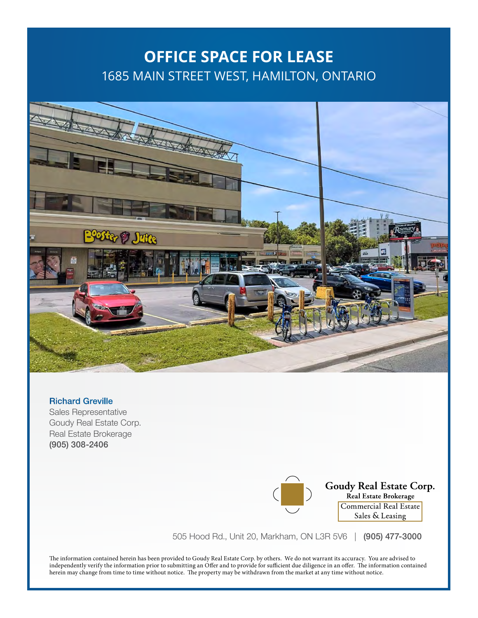## **OFFICE SPACE FOR LEASE** 1685 MAIN STREET WEST, HAMILTON, ONTARIO



### Richard Greville

Sales Representative Goudy Real Estate Corp. Real Estate Brokerage (905) 308-2406

### Goudy Real Estate Corp. Real Estate Brokerage Commercial Real Estate

Sales & Leasing

505 Hood Rd., Unit 20, Markham, ON L3R 5V6 | (905) 477-3000

The information contained herein has been provided to Goudy Real Estate Corp. by others. We do not warrant its accuracy. You are advised to independently verify the information prior to submitting an Offer and to provide for sufficient due diligence in an offer. The information contained herein may change from time to time without notice. The property may be withdrawn from the market at any time without notice.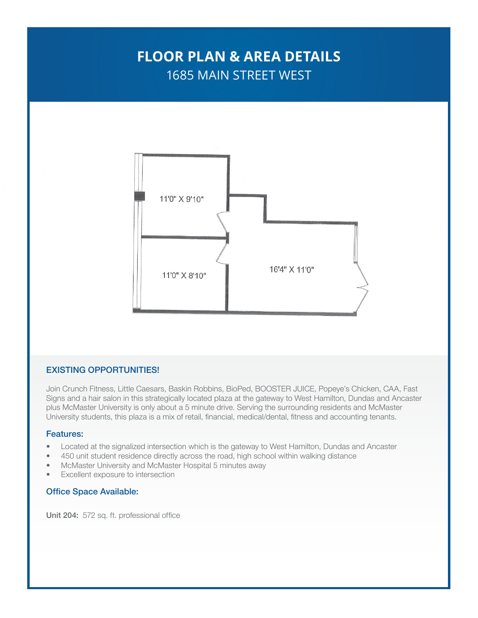## **FLOOR PLAN & AREA DETAILS** 1685 MAIN STREET WEST



### EXISTING OPPORTUNITIES!

Join Crunch Fitness, Little Caesars, Baskin Robbins, BioPed, BOOSTER JUICE, Popeye's Chicken, CAA, Fast Signs and a hair salon in this strategically located plaza at the gateway to West Hamilton, Dundas and Ancaster plus McMaster University is only about a 5 minute drive. Serving the surrounding residents and McMaster University students, this plaza is a mix of retail, financial, medical/dental, fitness and accounting tenants.

#### Features:

- Located at the signalized intersection which is the gateway to West Hamilton, Dundas and Ancaster
- 450 unit student residence directly across the road, high school within walking distance
- McMaster University and McMaster Hospital 5 minutes away
- Excellent exposure to intersection

#### Office Space Available:

Unit 204: 572 sq. ft. professional office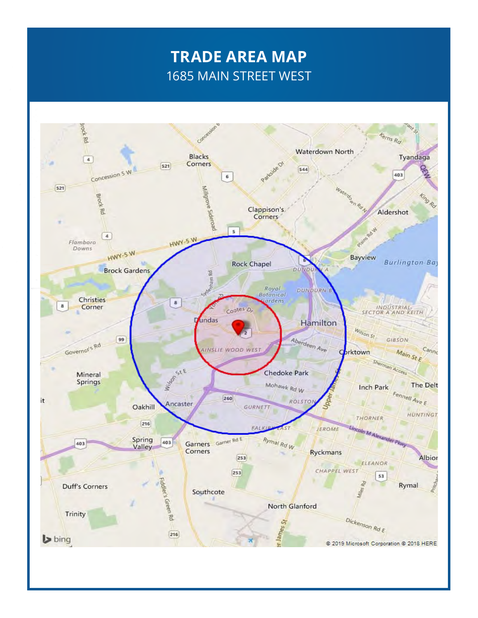# **TRADE AREA MAP** 1685 MAIN STREET WEST